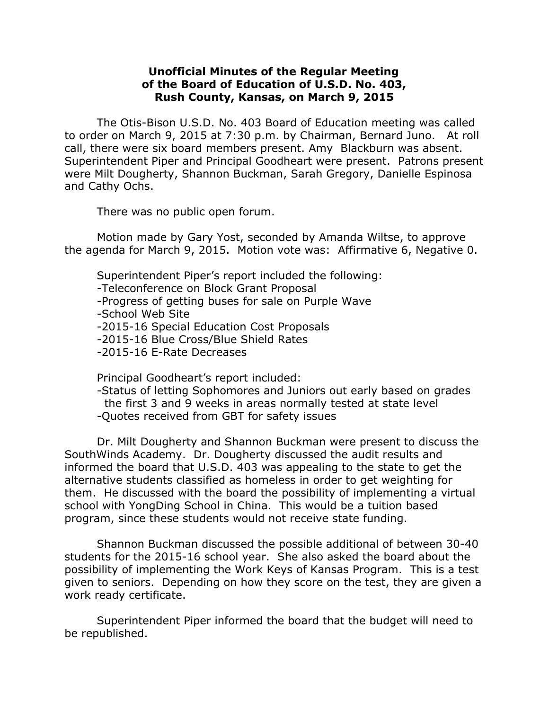## **Unofficial Minutes of the Regular Meeting of the Board of Education of U.S.D. No. 403, Rush County, Kansas, on March 9, 2015**

The Otis-Bison U.S.D. No. 403 Board of Education meeting was called to order on March 9, 2015 at 7:30 p.m. by Chairman, Bernard Juno. At roll call, there were six board members present. Amy Blackburn was absent. Superintendent Piper and Principal Goodheart were present. Patrons present were Milt Dougherty, Shannon Buckman, Sarah Gregory, Danielle Espinosa and Cathy Ochs.

There was no public open forum.

Motion made by Gary Yost, seconded by Amanda Wiltse, to approve the agenda for March 9, 2015. Motion vote was: Affirmative 6, Negative 0.

Superintendent Piper's report included the following:

-Teleconference on Block Grant Proposal

-Progress of getting buses for sale on Purple Wave

-School Web Site

-2015-16 Special Education Cost Proposals

-2015-16 Blue Cross/Blue Shield Rates

-2015-16 E-Rate Decreases

Principal Goodheart's report included:

-Status of letting Sophomores and Juniors out early based on grades the first 3 and 9 weeks in areas normally tested at state level -Quotes received from GBT for safety issues

Dr. Milt Dougherty and Shannon Buckman were present to discuss the SouthWinds Academy. Dr. Dougherty discussed the audit results and informed the board that U.S.D. 403 was appealing to the state to get the alternative students classified as homeless in order to get weighting for them. He discussed with the board the possibility of implementing a virtual school with YongDing School in China. This would be a tuition based program, since these students would not receive state funding.

Shannon Buckman discussed the possible additional of between 30-40 students for the 2015-16 school year. She also asked the board about the possibility of implementing the Work Keys of Kansas Program. This is a test given to seniors. Depending on how they score on the test, they are given a work ready certificate.

Superintendent Piper informed the board that the budget will need to be republished.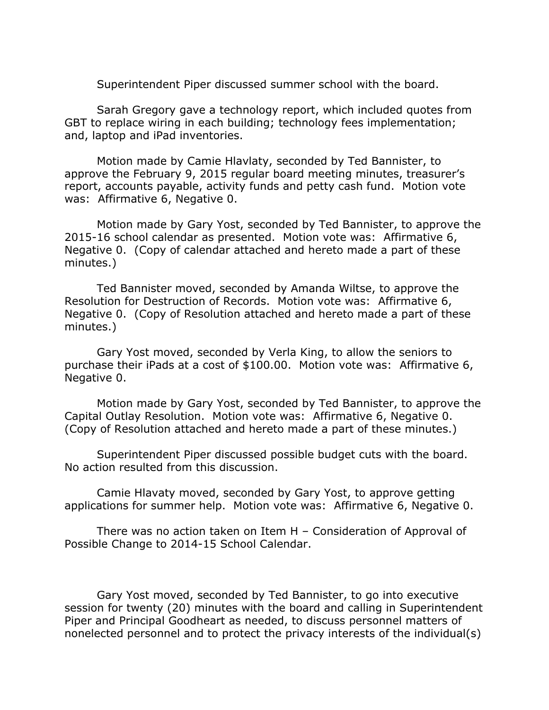Superintendent Piper discussed summer school with the board.

Sarah Gregory gave a technology report, which included quotes from GBT to replace wiring in each building; technology fees implementation; and, laptop and iPad inventories.

Motion made by Camie Hlavlaty, seconded by Ted Bannister, to approve the February 9, 2015 regular board meeting minutes, treasurer's report, accounts payable, activity funds and petty cash fund. Motion vote was: Affirmative 6, Negative 0.

Motion made by Gary Yost, seconded by Ted Bannister, to approve the 2015-16 school calendar as presented. Motion vote was: Affirmative 6, Negative 0. (Copy of calendar attached and hereto made a part of these minutes.)

Ted Bannister moved, seconded by Amanda Wiltse, to approve the Resolution for Destruction of Records. Motion vote was: Affirmative 6, Negative 0. (Copy of Resolution attached and hereto made a part of these minutes.)

Gary Yost moved, seconded by Verla King, to allow the seniors to purchase their iPads at a cost of \$100.00. Motion vote was: Affirmative 6, Negative 0.

Motion made by Gary Yost, seconded by Ted Bannister, to approve the Capital Outlay Resolution. Motion vote was: Affirmative 6, Negative 0. (Copy of Resolution attached and hereto made a part of these minutes.)

Superintendent Piper discussed possible budget cuts with the board. No action resulted from this discussion.

Camie Hlavaty moved, seconded by Gary Yost, to approve getting applications for summer help. Motion vote was: Affirmative 6, Negative 0.

There was no action taken on Item H – Consideration of Approval of Possible Change to 2014-15 School Calendar.

Gary Yost moved, seconded by Ted Bannister, to go into executive session for twenty (20) minutes with the board and calling in Superintendent Piper and Principal Goodheart as needed, to discuss personnel matters of nonelected personnel and to protect the privacy interests of the individual(s)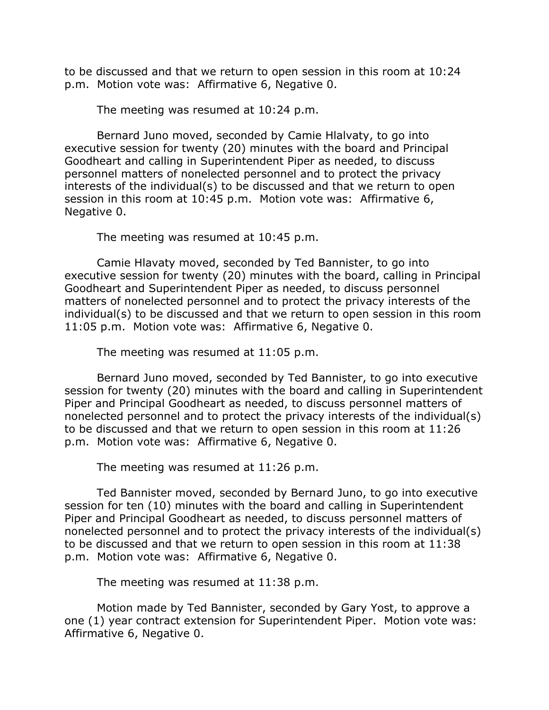to be discussed and that we return to open session in this room at 10:24 p.m. Motion vote was: Affirmative 6, Negative 0.

The meeting was resumed at 10:24 p.m.

Bernard Juno moved, seconded by Camie Hlalvaty, to go into executive session for twenty (20) minutes with the board and Principal Goodheart and calling in Superintendent Piper as needed, to discuss personnel matters of nonelected personnel and to protect the privacy interests of the individual(s) to be discussed and that we return to open session in this room at 10:45 p.m. Motion vote was: Affirmative 6, Negative 0.

The meeting was resumed at 10:45 p.m.

Camie Hlavaty moved, seconded by Ted Bannister, to go into executive session for twenty (20) minutes with the board, calling in Principal Goodheart and Superintendent Piper as needed, to discuss personnel matters of nonelected personnel and to protect the privacy interests of the individual(s) to be discussed and that we return to open session in this room 11:05 p.m. Motion vote was: Affirmative 6, Negative 0.

The meeting was resumed at 11:05 p.m.

Bernard Juno moved, seconded by Ted Bannister, to go into executive session for twenty (20) minutes with the board and calling in Superintendent Piper and Principal Goodheart as needed, to discuss personnel matters of nonelected personnel and to protect the privacy interests of the individual(s) to be discussed and that we return to open session in this room at 11:26 p.m. Motion vote was: Affirmative 6, Negative 0.

The meeting was resumed at 11:26 p.m.

Ted Bannister moved, seconded by Bernard Juno, to go into executive session for ten (10) minutes with the board and calling in Superintendent Piper and Principal Goodheart as needed, to discuss personnel matters of nonelected personnel and to protect the privacy interests of the individual(s) to be discussed and that we return to open session in this room at 11:38 p.m. Motion vote was: Affirmative 6, Negative 0.

The meeting was resumed at 11:38 p.m.

Motion made by Ted Bannister, seconded by Gary Yost, to approve a one (1) year contract extension for Superintendent Piper. Motion vote was: Affirmative 6, Negative 0.